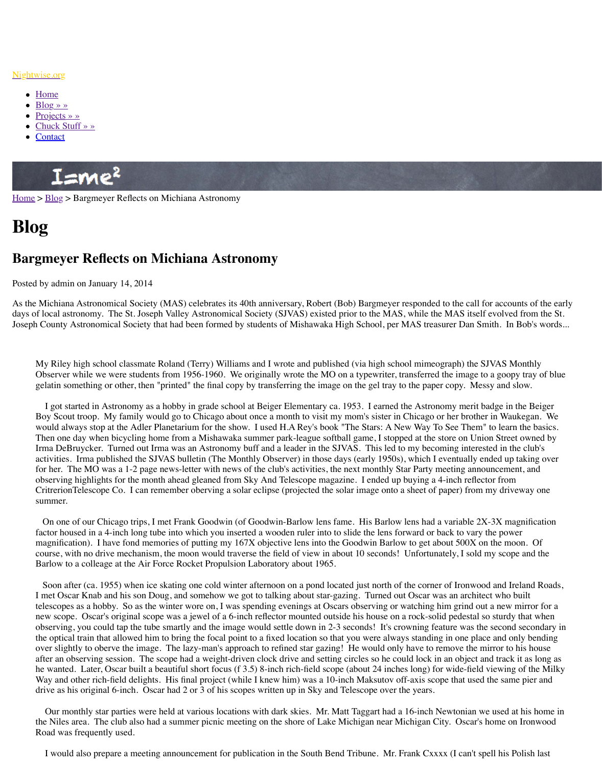As the Michiana Astronomical Society (MAS) celebrates its 40th anniversary, Robert (Bob) Bargmeyer responded to the call for accounts of the early days of local astronomy. The St. Joseph Valley Astronomical Society (SJVAS) existed prior Joseph County Astronomical Society that had been formed by students of Mishawaka High Sphith.

My Riley high school classmate Roland (Terry) Williams and I wrote and published (v Observer while we were students from 1956-1960. We originally wrote the MO on a t gelatin something or other, then "printed" the final copy by transferring the image on t

I got started in Astronomy as a hobby in grade school at Beiger Elementary ca. 1953. [Boy Scout t](http://www.nightwise.org/projects/)roop. My family would go to Chicago about once a month to visit my mome. [would always st](http://www.nightwise.org/chuck-stuff/)op at the Adler Planetarium for the show. I used H.A Rey's book "The [Then on](http://www.nightwise.org/contact/)e day when bicycling home from a Mishawaka summer park-league softball g Irma DeBruycker. Turned out Irma was an Astronomy buff and a leader in the SJVAS activities. Irma published the SJVAS bulletin (The Monthly Observer) in those days ( for her. The MO was a 1-2 page news-letter with news of the club's activities, the next observing highlights for the month ahead gleaned from Sky And Telescope magazine. CritrerionTelescope Co. I can remember oberving a solar eclipse (projected the solar ignore su[mmer](http://www.nightwise.org/blog/).

On one of our Chicago trips, I met Frank Goodwin (of Goodwin-Barlow lens fame. factor housed in a 4-inch long tube into which you inserted a wooden ruler into to slide magnification). I have fond memories of putting my  $167X$  objective lens into the Good course, with no drive mechanism, the moon would traverse the field of view in about 1 Barlow to a colleage at the Air Force Rocket Propulsion Laboratory about 1965.

Soon after (ca. 1955) when ice skating one cold winter afternoon on a pond located I met Oscar Knab and his son Doug, and somehow we got to talking about star-gazing. telescopes as a hobby. So as the winter wore on, I was spending evenings at Oscars of new scope. Oscar's original scope was a jewel of a 6-inch reflector mounted outside h observing, you could tap the tube smartly and the image would settle down in 2-3 seconds. the optical train that allowed him to bring the focal point to a fixed location so that you over slightly to oberve the image. The lazy-man's approach to refined star gazing! He after an observing session. The scope had a weight-driven clock drive and setting circ he wanted. Later, Oscar built a beautiful short focus (f 3.5) 8-inch rich-field scope (ab Way and other rich-field delights. His final project (while I knew him) was a 10-inch is drive as his original 6-inch. Oscar had 2 or 3 of his scopes written up in Sky and Teles

Our monthly star parties were held at various locations with dark skies. Mr. Matt T the Niles area. The club also had a summer picnic meeting on the shore of Lake Mich Road was frequently used.

I would also prepare a meeting announcement for publication in the South Bend Tri